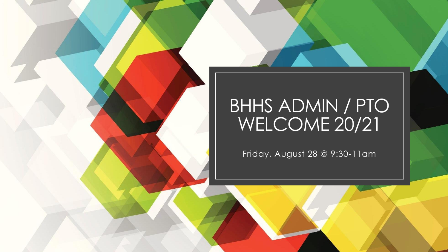#### BHHS ADMIN / PTO WELCOME 20/21

Friday, August 28 @ 9:30-11am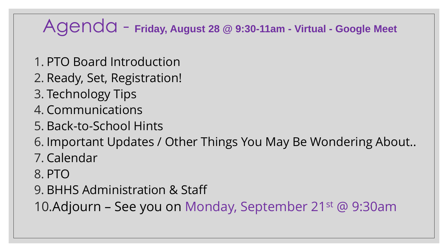#### Agenda - **Friday, August 28 @ 9:30-11am - Virtual - Google Meet**

- 1. PTO Board Introduction
- 2. Ready, Set, Registration!
- 3. Technology Tips
- 4. Communications
- 5. Back-to-School Hints
- 6. Important Updates / Other Things You May Be Wondering About..
- 7. Calendar
- 8. PTO
- 9. BHHS Administration & Staff

10.Adjourn – See you on Monday, September 21st @ 9:30am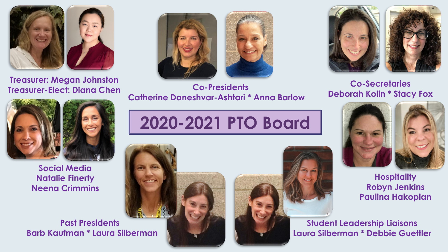

**Treasurer: Megan Johnston Treasurer-Elect: Diana Chen**





**Co-Presidents Catherine Daneshvar-Ashtari \* Anna Barlow**



**Co-Secretaries Deborah Kolin \* Stacy Fox**



**Hospitality Robyn Jenkins Paulina Hakopian**

**Student Leadership Liaisons Laura Silberman \* Debbie Guettler**



**Social Media Natalie Finerty Neena Crimmins**

**Past Presidents Barb Kaufman \* Laura Silberman**

# **2020-2021 PTO Board**



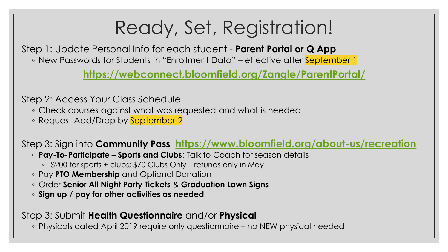## Ready, Set, Registration!

Step 1: Update Personal Info for each student - **Parent Portal or Q App** ◦ New Passwords for Students in "Enrollment Data" – effective after September 1

**<https://webconnect.bloomfield.org/Zangle/ParentPortal/>**

Step 2: Access Your Class Schedule

- Check courses against what was requested and what is needed
- Request Add/Drop by September 2

Step 3: Sign into **Community Pass <https://www.bloomfield.org/about-us/recreation>**

- **Pay-To-Participate – Sports and Clubs**: Talk to Coach for season details
	- \$200 for sports + clubs; \$70 Clubs Only refunds only in May
- Pay **PTO Membership** and Optional Donation
- Order **Senior All Night Party Tickets** & **Graduation Lawn Signs**
- **Sign up / pay for other activities as needed**

#### Step 3: Submit **Health Questionnaire** and/or **Physical**

◦ Physicals dated April 2019 require only questionnaire – no NEW physical needed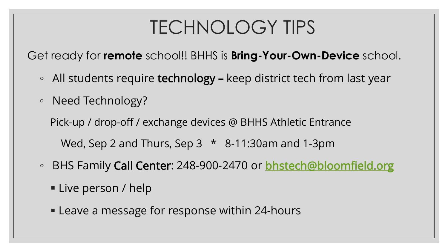### TECHNOLOGY TIPS

Get ready for **remote** school!! BHHS is **Bring-Your-Own-Device** school.

- All students require technology keep district tech from last year
- Need Technology?

Pick-up / drop-off / exchange devices @ BHHS Athletic Entrance

Wed, Sep 2 and Thurs, Sep 3  $*$  8-11:30am and 1-3pm

- BHS Family Call Center: 248-900-2470 or [bhstech@bloomfield.org](mailto:bhstech@bloomfield.org)
	- **Example 1** Live person / help
	- Leave a message for response within 24-hours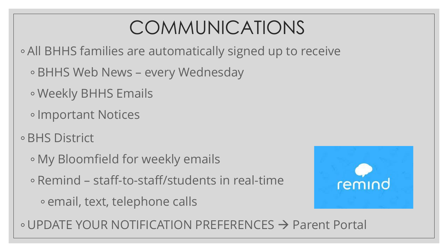## COMMUNICATIONS

◦ All BHHS families are automatically signed up to receive

- BHHS Web News every Wednesday
- Weekly BHHS Emails
- Important Notices
- BHS District
	- My Bloomfield for weekly emails
	- Remind staff-to-staff/students in real-time
		- email, text, telephone calls



◦ UPDATE YOUR NOTIFICATION PREFERENCES → Parent Portal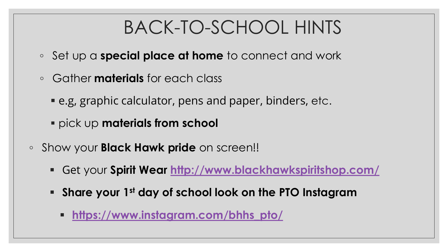### BACK-TO-SCHOOL HINTS

- Set up a **special place at home** to connect and work
- Gather **materials** for each class
	- e.g, graphic calculator, pens and paper, binders, etc.
	- pick up **materials from school**
- Show your **Black Hawk pride** on screen!!
	- Get your **Spirit Wear<http://www.blackhawkspiritshop.com/>**
	- **Share your 1st day of school look on the PTO Instagram**
		- **[https://www.instagram.com/bhhs\\_pto/](https://www.instagram.com/bhhs_pto/)**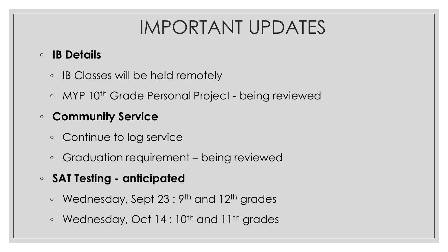### IMPORTANT UPDATES

#### ◦ **IB Details**

- IB Classes will be held remotely
- MYP 10th Grade Personal Project being reviewed

#### ◦ **Community Service**

- Continue to log service
- Graduation requirement being reviewed
- **SAT Testing - anticipated**
	- Wednesday, Sept 23 : 9th and 12th grades
	- Wednesday, Oct 14 : 10th and 11th grades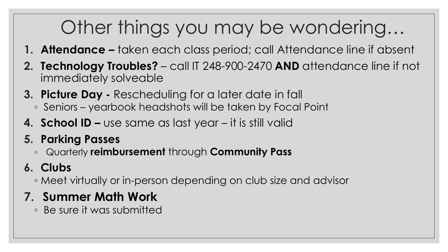# Other things you may be wondering…

- **1. Attendance –** taken each class period; call Attendance line if absent
- **2. Technology Troubles?**  call IT 248-900-2470 **AND** attendance line if not immediately solveable
- **3. Picture Day -** Rescheduling for a later date in fall
	- Seniors yearbook headshots will be taken by Focal Point
- **4. School ID –** use same as last year it is still valid
- **5. Parking Passes**
	- Quarterly **reimbursement** through **Community Pass**

#### **6. Clubs**

◦ Meet virtually or in-person depending on club size and advisor

#### **7. Summer Math Work**

◦ Be sure it was submitted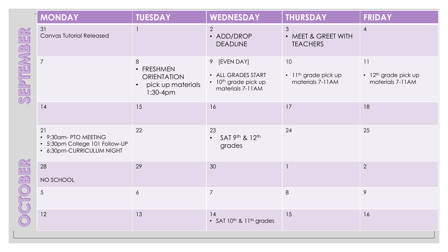|                 | <b>MONDAY</b>                                                                              | <b>TUESDAY</b>                                                           | WEDNESDAY                                                                                  | <b>THURSDAY</b>                                                  | <b>FRIDAY</b>                                                    |
|-----------------|--------------------------------------------------------------------------------------------|--------------------------------------------------------------------------|--------------------------------------------------------------------------------------------|------------------------------------------------------------------|------------------------------------------------------------------|
| <b>SENEMBER</b> | 31<br><b>Canvas Tutorial Released</b>                                                      |                                                                          | $\overline{2}$<br>• ADD/DROP<br><b>DEADLINE</b>                                            | 3<br>• MEET & GREET WITH<br><b>TEACHERS</b>                      | $\overline{4}$                                                   |
|                 | $\overline{7}$                                                                             | 8<br>• FRESHMEN<br><b>ORIENTATION</b><br>pick up materials<br>$1:30-4pm$ | 9 [EVEN DAY]<br>• ALL GRADES START<br>• 10 <sup>th</sup> grade pick up<br>materials 7-11AM | 10<br>$\cdot$ 11 <sup>th</sup> grade pick up<br>materials 7-11AM | 11<br>$\cdot$ 12 <sup>th</sup> grade pick up<br>materials 7-11AM |
|                 | 14                                                                                         | 15                                                                       | 16                                                                                         | 17                                                               | 18                                                               |
|                 | 21<br>• 9:30am- PTO MEETING<br>• 5:30pm College 101 Follow-UP<br>• 6:30pm-CURRICULUM NIGHT | 22                                                                       | 23<br>SAT 9th & 12th<br>$\bullet$<br>grades                                                | 24                                                               | 25                                                               |
|                 | 28<br>NO SCHOOL                                                                            | 29                                                                       | 30                                                                                         |                                                                  | $\overline{2}$                                                   |
|                 | 5                                                                                          | $\epsilon$                                                               | $\overline{7}$                                                                             | $8\,$                                                            | 9                                                                |
|                 | 12                                                                                         | 13                                                                       | 14<br>• SAT $10^{th}$ & $11^{th}$ grades                                                   | 15                                                               | 16                                                               |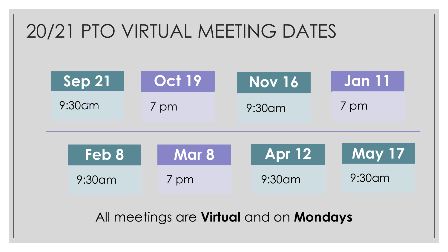### 20/21 PTO VIRTUAL MEETING DATES